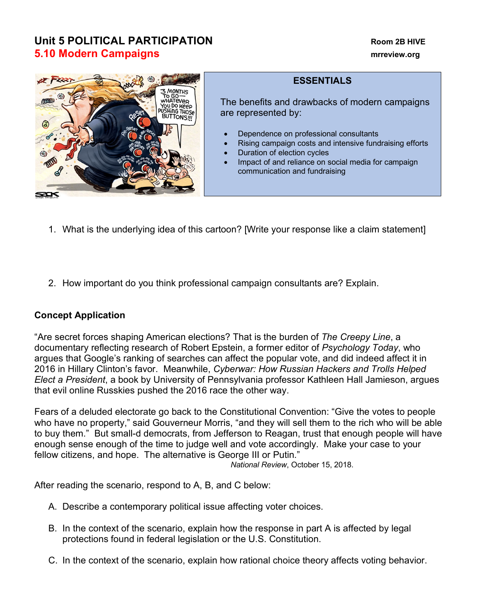## **Unit 5 POLITICAL PARTICIPATION Room 2B HIVE 5.10 Modern Campaigns manufacture of the contract of the contract of the contract of the contract of the contract of the contract of the contract of the contract of the contract of the contract of the contract of the co**



## **ESSENTIALS**

The benefits and drawbacks of modern campaigns are represented by:

- Dependence on professional consultants
- Rising campaign costs and intensive fundraising efforts
- Duration of election cycles
- Impact of and reliance on social media for campaign communication and fundraising
- 1. What is the underlying idea of this cartoon? [Write your response like a claim statement]
- 2. How important do you think professional campaign consultants are? Explain.

## **Concept Application**

"Are secret forces shaping American elections? That is the burden of *The Creepy Line*, a documentary reflecting research of Robert Epstein, a former editor of *Psychology Today*, who argues that Google's ranking of searches can affect the popular vote, and did indeed affect it in 2016 in Hillary Clinton's favor. Meanwhile, *Cyberwar: How Russian Hackers and Trolls Helped Elect a President*, a book by University of Pennsylvania professor Kathleen Hall Jamieson, argues that evil online Russkies pushed the 2016 race the other way.

Fears of a deluded electorate go back to the Constitutional Convention: "Give the votes to people who have no property," said Gouverneur Morris, "and they will sell them to the rich who will be able to buy them." But small-d democrats, from Jefferson to Reagan, trust that enough people will have enough sense enough of the time to judge well and vote accordingly. Make your case to your fellow citizens, and hope. The alternative is George III or Putin."

*National Review*, October 15, 2018.

After reading the scenario, respond to A, B, and C below:

- A. Describe a contemporary political issue affecting voter choices.
- B. In the context of the scenario, explain how the response in part A is affected by legal protections found in federal legislation or the U.S. Constitution.
- C. In the context of the scenario, explain how rational choice theory affects voting behavior.